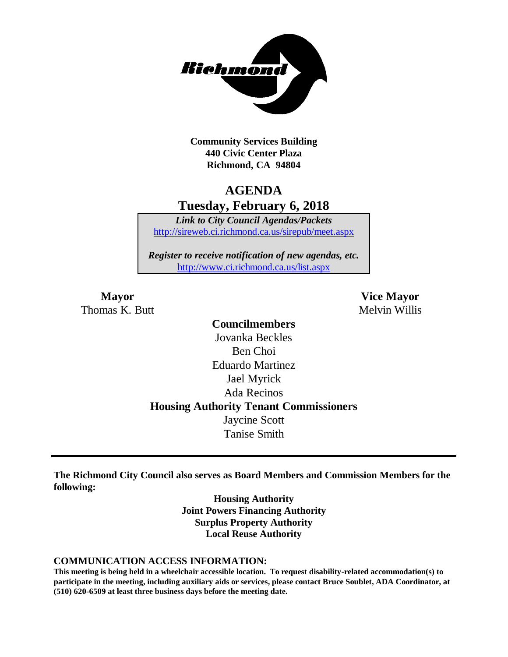

**Community Services Building 440 Civic Center Plaza Richmond, CA 94804**

## **AGENDA Tuesday, February 6, 2018**

*Link to City Council Agendas/Packets* <http://sireweb.ci.richmond.ca.us/sirepub/meet.aspx>

*Register to receive notification of new agendas, etc.* <http://www.ci.richmond.ca.us/list.aspx>

Thomas K. Butt Melvin Willis

**Mayor Vice Mayor**

**Councilmembers** Jovanka Beckles Ben Choi Eduardo Martinez Jael Myrick Ada Recinos **Housing Authority Tenant Commissioners** Jaycine Scott Tanise Smith

**The Richmond City Council also serves as Board Members and Commission Members for the following:**

> **Housing Authority Joint Powers Financing Authority Surplus Property Authority Local Reuse Authority**

#### **COMMUNICATION ACCESS INFORMATION:**

**This meeting is being held in a wheelchair accessible location. To request disability-related accommodation(s) to participate in the meeting, including auxiliary aids or services, please contact Bruce Soublet, ADA Coordinator, at (510) 620-6509 at least three business days before the meeting date.**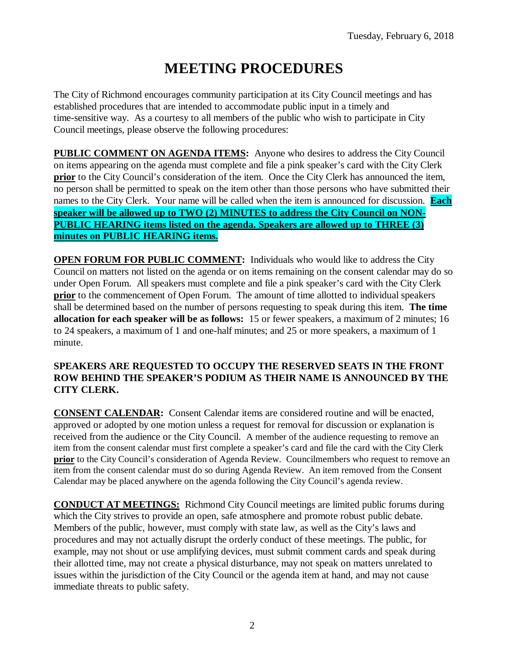# **MEETING PROCEDURES**

The City of Richmond encourages community participation at its City Council meetings and has established procedures that are intended to accommodate public input in a timely and time-sensitive way. As a courtesy to all members of the public who wish to participate in City Council meetings, please observe the following procedures:

**PUBLIC COMMENT ON AGENDA ITEMS:** Anyone who desires to address the City Council on items appearing on the agenda must complete and file a pink speaker's card with the City Clerk **prior** to the City Council's consideration of the item. Once the City Clerk has announced the item, no person shall be permitted to speak on the item other than those persons who have submitted their names to the City Clerk. Your name will be called when the item is announced for discussion. **Each speaker will be allowed up to TWO (2) MINUTES to address the City Council on NON-PUBLIC HEARING items listed on the agenda. Speakers are allowed up to THREE (3) minutes on PUBLIC HEARING items.**

**OPEN FORUM FOR PUBLIC COMMENT:** Individuals who would like to address the City Council on matters not listed on the agenda or on items remaining on the consent calendar may do so under Open Forum. All speakers must complete and file a pink speaker's card with the City Clerk **prior** to the commencement of Open Forum. The amount of time allotted to individual speakers shall be determined based on the number of persons requesting to speak during this item. **The time allocation for each speaker will be as follows:** 15 or fewer speakers, a maximum of 2 minutes; 16 to 24 speakers, a maximum of 1 and one-half minutes; and 25 or more speakers, a maximum of 1 minute.

### **SPEAKERS ARE REQUESTED TO OCCUPY THE RESERVED SEATS IN THE FRONT ROW BEHIND THE SPEAKER'S PODIUM AS THEIR NAME IS ANNOUNCED BY THE CITY CLERK.**

**CONSENT CALENDAR:** Consent Calendar items are considered routine and will be enacted, approved or adopted by one motion unless a request for removal for discussion or explanation is received from the audience or the City Council. A member of the audience requesting to remove an item from the consent calendar must first complete a speaker's card and file the card with the City Clerk **prior** to the City Council's consideration of Agenda Review. Councilmembers who request to remove an item from the consent calendar must do so during Agenda Review. An item removed from the Consent Calendar may be placed anywhere on the agenda following the City Council's agenda review.

**CONDUCT AT MEETINGS:** Richmond City Council meetings are limited public forums during which the City strives to provide an open, safe atmosphere and promote robust public debate. Members of the public, however, must comply with state law, as well as the City's laws and procedures and may not actually disrupt the orderly conduct of these meetings. The public, for example, may not shout or use amplifying devices, must submit comment cards and speak during their allotted time, may not create a physical disturbance, may not speak on matters unrelated to issues within the jurisdiction of the City Council or the agenda item at hand, and may not cause immediate threats to public safety.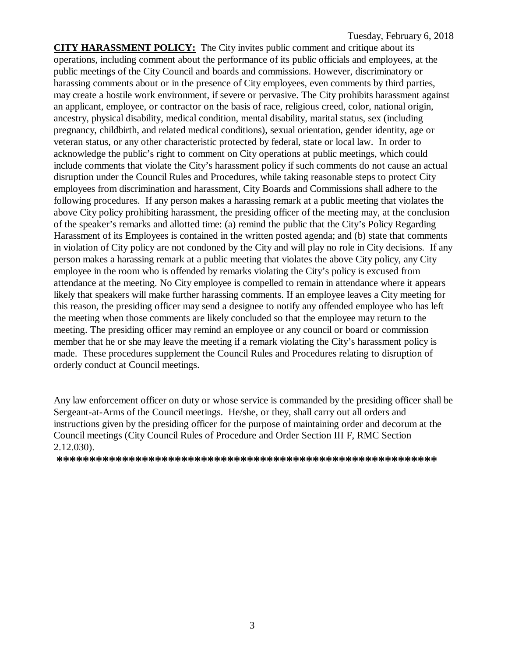**CITY HARASSMENT POLICY:** The City invites public comment and critique about its operations, including comment about the performance of its public officials and employees, at the public meetings of the City Council and boards and commissions. However, discriminatory or harassing comments about or in the presence of City employees, even comments by third parties, may create a hostile work environment, if severe or pervasive. The City prohibits harassment against an applicant, employee, or contractor on the basis of race, religious creed, color, national origin, ancestry, physical disability, medical condition, mental disability, marital status, sex (including pregnancy, childbirth, and related medical conditions), sexual orientation, gender identity, age or veteran status, or any other characteristic protected by federal, state or local law. In order to acknowledge the public's right to comment on City operations at public meetings, which could include comments that violate the City's harassment policy if such comments do not cause an actual disruption under the Council Rules and Procedures, while taking reasonable steps to protect City employees from discrimination and harassment, City Boards and Commissions shall adhere to the following procedures. If any person makes a harassing remark at a public meeting that violates the above City policy prohibiting harassment, the presiding officer of the meeting may, at the conclusion of the speaker's remarks and allotted time: (a) remind the public that the City's Policy Regarding Harassment of its Employees is contained in the written posted agenda; and (b) state that comments in violation of City policy are not condoned by the City and will play no role in City decisions. If any person makes a harassing remark at a public meeting that violates the above City policy, any City employee in the room who is offended by remarks violating the City's policy is excused from attendance at the meeting. No City employee is compelled to remain in attendance where it appears likely that speakers will make further harassing comments. If an employee leaves a City meeting for this reason, the presiding officer may send a designee to notify any offended employee who has left the meeting when those comments are likely concluded so that the employee may return to the meeting. The presiding officer may remind an employee or any council or board or commission member that he or she may leave the meeting if a remark violating the City's harassment policy is made. These procedures supplement the Council Rules and Procedures relating to disruption of orderly conduct at Council meetings.

Any law enforcement officer on duty or whose service is commanded by the presiding officer shall be Sergeant-at-Arms of the Council meetings. He/she, or they, shall carry out all orders and instructions given by the presiding officer for the purpose of maintaining order and decorum at the Council meetings (City Council Rules of Procedure and Order Section III F, RMC Section 2.12.030).

**\*\*\*\*\*\*\*\*\*\*\*\*\*\*\*\*\*\*\*\*\*\*\*\*\*\*\*\*\*\*\*\*\*\*\*\*\*\*\*\*\*\*\*\*\*\*\*\*\*\*\*\*\*\*\*\*\*\***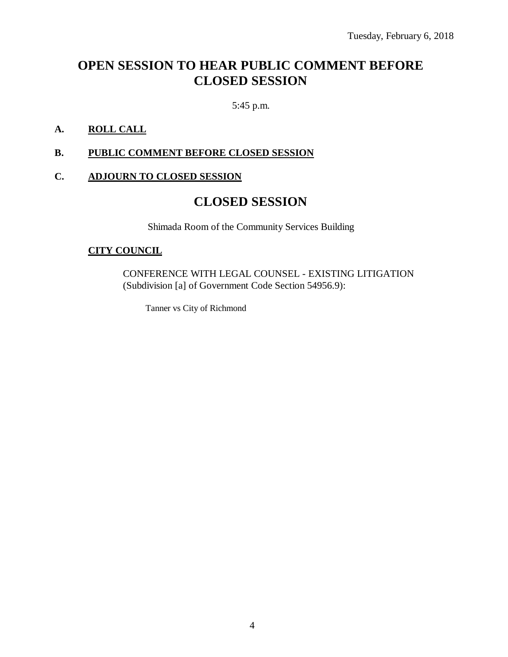# **OPEN SESSION TO HEAR PUBLIC COMMENT BEFORE CLOSED SESSION**

5:45 p.m.

### **A. ROLL CALL**

### **B. PUBLIC COMMENT BEFORE CLOSED SESSION**

### **C. ADJOURN TO CLOSED SESSION**

### **CLOSED SESSION**

Shimada Room of the Community Services Building

### **CITY COUNCIL**

CONFERENCE WITH LEGAL COUNSEL - EXISTING LITIGATION (Subdivision [a] of Government Code Section 54956.9):

Tanner vs City of Richmond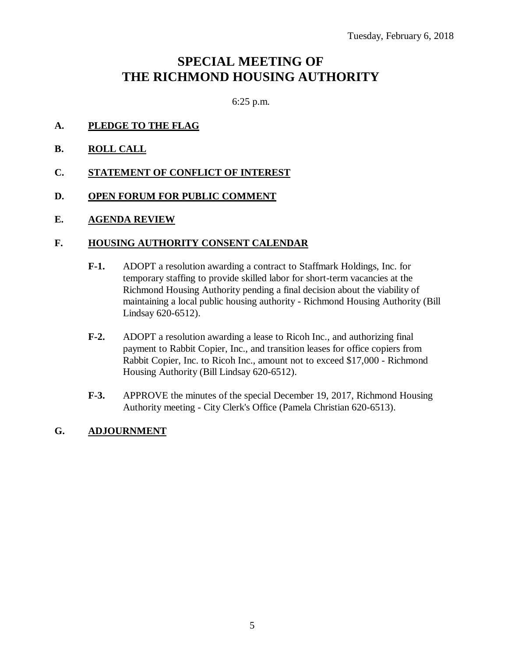## **SPECIAL MEETING OF THE RICHMOND HOUSING AUTHORITY**

6:25 p.m.

- **A. PLEDGE TO THE FLAG**
- **B. ROLL CALL**
- **C. STATEMENT OF CONFLICT OF INTEREST**
- **D. OPEN FORUM FOR PUBLIC COMMENT**
- **E. AGENDA REVIEW**

#### **F. HOUSING AUTHORITY CONSENT CALENDAR**

- **F-1.** ADOPT a resolution awarding a contract to Staffmark Holdings, Inc. for temporary staffing to provide skilled labor for short-term vacancies at the Richmond Housing Authority pending a final decision about the viability of maintaining a local public housing authority - Richmond Housing Authority (Bill Lindsay 620-6512).
- **F-2.** ADOPT a resolution awarding a lease to Ricoh Inc., and authorizing final payment to Rabbit Copier, Inc., and transition leases for office copiers from Rabbit Copier, Inc. to Ricoh Inc., amount not to exceed \$17,000 - Richmond Housing Authority (Bill Lindsay 620-6512).
- **F-3.** APPROVE the minutes of the special December 19, 2017, Richmond Housing Authority meeting - City Clerk's Office (Pamela Christian 620-6513).

### **G. ADJOURNMENT**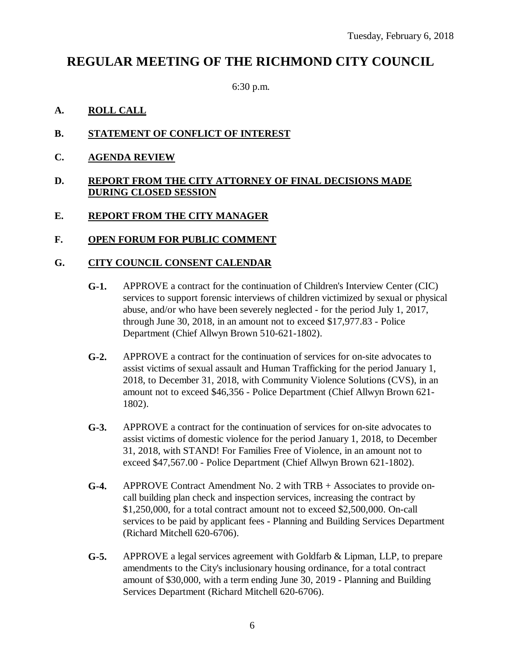### **REGULAR MEETING OF THE RICHMOND CITY COUNCIL**

6:30 p.m.

### **A. ROLL CALL**

- **B. STATEMENT OF CONFLICT OF INTEREST**
- **C. AGENDA REVIEW**

### **D. REPORT FROM THE CITY ATTORNEY OF FINAL DECISIONS MADE DURING CLOSED SESSION**

### **E. REPORT FROM THE CITY MANAGER**

### **F. OPEN FORUM FOR PUBLIC COMMENT**

### **G. CITY COUNCIL CONSENT CALENDAR**

- **G-1.** APPROVE a contract for the continuation of Children's Interview Center (CIC) services to support forensic interviews of children victimized by sexual or physical abuse, and/or who have been severely neglected - for the period July 1, 2017, through June 30, 2018, in an amount not to exceed \$17,977.83 - Police Department (Chief Allwyn Brown 510-621-1802).
- **G-2.** APPROVE a contract for the continuation of services for on-site advocates to assist victims of sexual assault and Human Trafficking for the period January 1, 2018, to December 31, 2018, with Community Violence Solutions (CVS), in an amount not to exceed \$46,356 - Police Department (Chief Allwyn Brown 621- 1802).
- **G-3.** APPROVE a contract for the continuation of services for on-site advocates to assist victims of domestic violence for the period January 1, 2018, to December 31, 2018, with STAND! For Families Free of Violence, in an amount not to exceed \$47,567.00 - Police Department (Chief Allwyn Brown 621-1802).
- **G-4.** APPROVE Contract Amendment No. 2 with TRB + Associates to provide oncall building plan check and inspection services, increasing the contract by \$1,250,000, for a total contract amount not to exceed \$2,500,000. On-call services to be paid by applicant fees - Planning and Building Services Department (Richard Mitchell 620-6706).
- **G-5.** APPROVE a legal services agreement with Goldfarb & Lipman, LLP, to prepare amendments to the City's inclusionary housing ordinance, for a total contract amount of \$30,000, with a term ending June 30, 2019 - Planning and Building Services Department (Richard Mitchell 620-6706).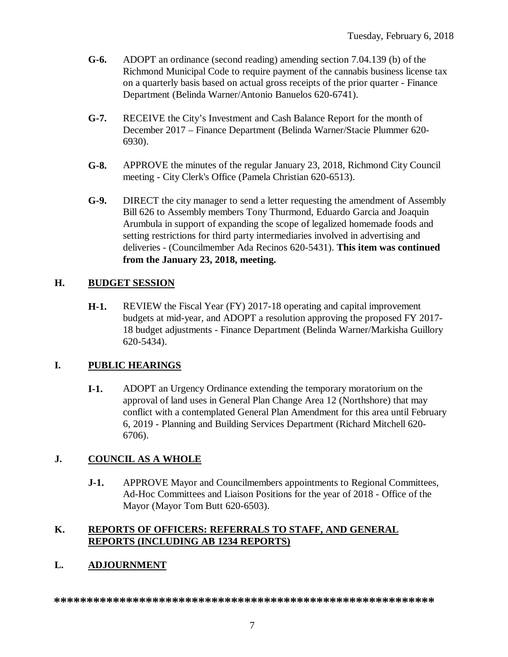- **G-6.** ADOPT an ordinance (second reading) amending section 7.04.139 (b) of the Richmond Municipal Code to require payment of the cannabis business license tax on a quarterly basis based on actual gross receipts of the prior quarter - Finance Department (Belinda Warner/Antonio Banuelos 620-6741).
- **G-7.** RECEIVE the City's Investment and Cash Balance Report for the month of December 2017 – Finance Department (Belinda Warner/Stacie Plummer 620- 6930).
- **G-8.** APPROVE the minutes of the regular January 23, 2018, Richmond City Council meeting - City Clerk's Office (Pamela Christian 620-6513).
- **G-9.** DIRECT the city manager to send a letter requesting the amendment of Assembly Bill 626 to Assembly members Tony Thurmond, Eduardo Garcia and Joaquin Arumbula in support of expanding the scope of legalized homemade foods and setting restrictions for third party intermediaries involved in advertising and deliveries - (Councilmember Ada Recinos 620-5431). **This item was continued from the January 23, 2018, meeting.**

### **H. BUDGET SESSION**

**H-1.** REVIEW the Fiscal Year (FY) 2017-18 operating and capital improvement budgets at mid-year, and ADOPT a resolution approving the proposed FY 2017- 18 budget adjustments - Finance Department (Belinda Warner/Markisha Guillory 620-5434).

### **I. PUBLIC HEARINGS**

**I-1.** ADOPT an Urgency Ordinance extending the temporary moratorium on the approval of land uses in General Plan Change Area 12 (Northshore) that may conflict with a contemplated General Plan Amendment for this area until February 6, 2019 - Planning and Building Services Department (Richard Mitchell 620- 6706).

### **J. COUNCIL AS A WHOLE**

**J-1.** APPROVE Mayor and Councilmembers appointments to Regional Committees, Ad-Hoc Committees and Liaison Positions for the year of 2018 - Office of the Mayor (Mayor Tom Butt 620-6503).

### **K. REPORTS OF OFFICERS: REFERRALS TO STAFF, AND GENERAL REPORTS (INCLUDING AB 1234 REPORTS)**

### **L. ADJOURNMENT**

**\*\*\*\*\*\*\*\*\*\*\*\*\*\*\*\*\*\*\*\*\*\*\*\*\*\*\*\*\*\*\*\*\*\*\*\*\*\*\*\*\*\*\*\*\*\*\*\*\*\*\*\*\*\*\*\*\*\***